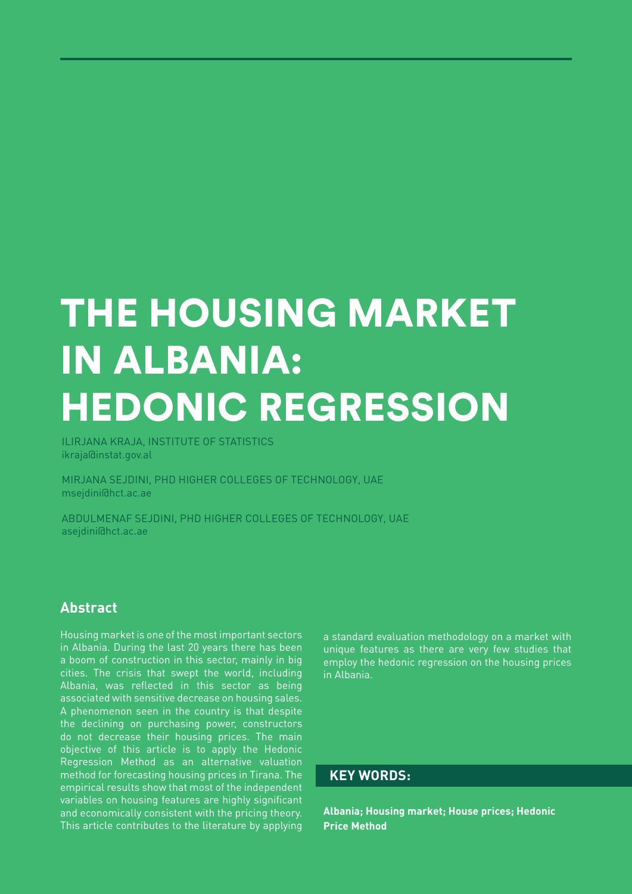# THE HOUSING MARKET IN ALBANIA: HEDONIC REGRESSION

ILIRJANA KRAJA, INSTITUTE OF STATISTICS ikraja@instat.gov.al

MIRJANA SEJDINI, PHD HIGHER COLLEGES OF TECHNOLOGY, UAE msejdini@hct.ac.ae

ABDULMENAF SEJDINI, PHD HIGHER COLLEGES OF TECHNOLOGY, UAE asejdini@hct.ac.ae

### **Abstract**

Housing market is one of the most important sectors in Albania. During the last 20 years there has been a boom of construction in this sector, mainly in big cities. The crisis that swept the world, including Albania, was reflected in this sector as being associated with sensitive decrease on housing sales. A phenomenon seen in the country is that despite the declining on purchasing power, constructors do not decrease their housing prices. The main objective of this article is to apply the Hedonic Regression Method as an alternative valuation method for forecasting housing prices in Tirana. The empirical results show that most of the independent variables on housing features are highly significant and economically consistent with the pricing theory. This article contributes to the literature by applying

a standard evaluation methodology on a market with unique features as there are very few studies that employ the hedonic regression on the housing prices in Albania.

### **KEY WORDS:**

**Albania; Housing market; House prices; Hedonic Price Method**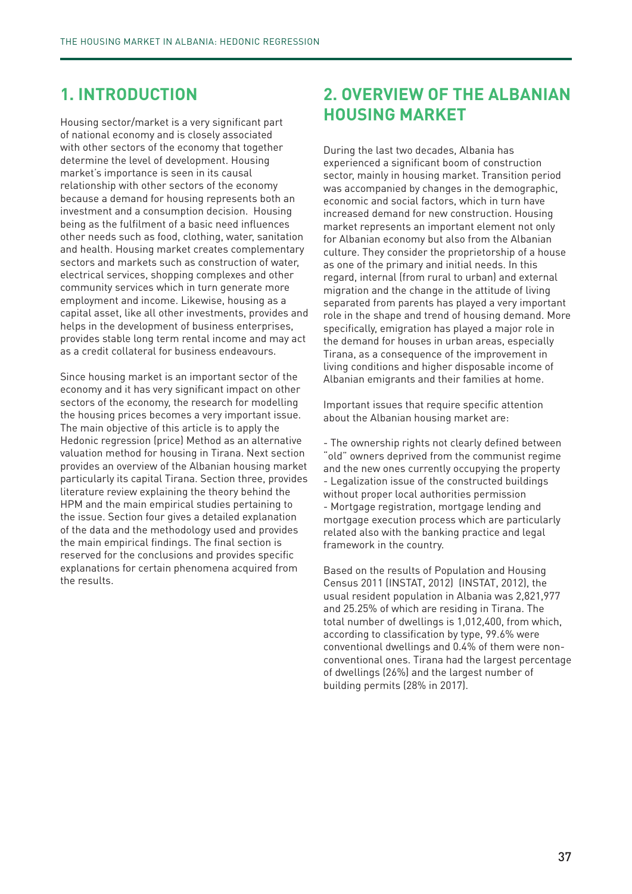## **1. INTRODUCTION**

Housing sector/market is a very significant part of national economy and is closely associated with other sectors of the economy that together determine the level of development. Housing market's importance is seen in its causal relationship with other sectors of the economy because a demand for housing represents both an investment and a consumption decision. Housing being as the fulfilment of a basic need influences other needs such as food, clothing, water, sanitation and health. Housing market creates complementary sectors and markets such as construction of water, electrical services, shopping complexes and other community services which in turn generate more employment and income. Likewise, housing as a capital asset, like all other investments, provides and helps in the development of business enterprises, provides stable long term rental income and may act as a credit collateral for business endeavours.

Since housing market is an important sector of the economy and it has very significant impact on other sectors of the economy, the research for modelling the housing prices becomes a very important issue. The main objective of this article is to apply the Hedonic regression (price) Method as an alternative valuation method for housing in Tirana. Next section provides an overview of the Albanian housing market particularly its capital Tirana. Section three, provides literature review explaining the theory behind the HPM and the main empirical studies pertaining to the issue. Section four gives a detailed explanation of the data and the methodology used and provides the main empirical findings. The final section is reserved for the conclusions and provides specific explanations for certain phenomena acquired from the results.

# **2. OVERVIEW OF THE ALBANIAN HOUSING MARKET**

During the last two decades, Albania has experienced a significant boom of construction sector, mainly in housing market. Transition period was accompanied by changes in the demographic, economic and social factors, which in turn have increased demand for new construction. Housing market represents an important element not only for Albanian economy but also from the Albanian culture. They consider the proprietorship of a house as one of the primary and initial needs. In this regard, internal (from rural to urban) and external migration and the change in the attitude of living separated from parents has played a very important role in the shape and trend of housing demand. More specifically, emigration has played a major role in the demand for houses in urban areas, especially Tirana, as a consequence of the improvement in living conditions and higher disposable income of Albanian emigrants and their families at home.

Important issues that require specific attention about the Albanian housing market are:

- The ownership rights not clearly defined between "old" owners deprived from the communist regime and the new ones currently occupying the property - Legalization issue of the constructed buildings without proper local authorities permission - Mortgage registration, mortgage lending and mortgage execution process which are particularly related also with the banking practice and legal framework in the country.

Based on the results of Population and Housing Census 2011 (INSTAT, 2012) (INSTAT, 2012), the usual resident population in Albania was 2,821,977 and 25.25% of which are residing in Tirana. The total number of dwellings is 1,012,400, from which, according to classification by type, 99.6% were conventional dwellings and 0.4% of them were nonconventional ones. Tirana had the largest percentage of dwellings (26%) and the largest number of building permits (28% in 2017).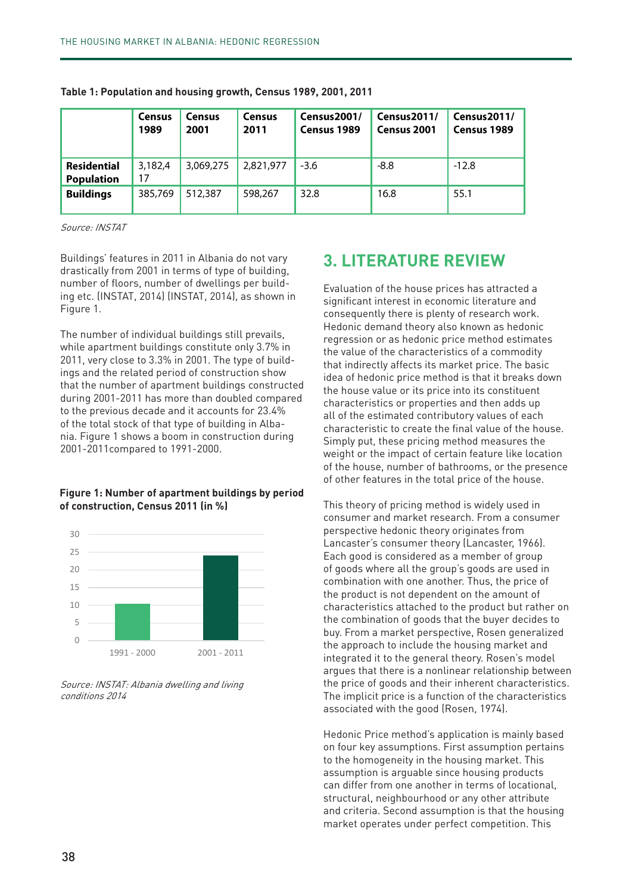|                                         | <b>Census</b><br>1989 | <b>Census</b><br>2001 | <b>Census</b><br>2011 | Census2001/<br>Census 1989 | Census2011/<br>Census 2001 | Census2011/<br>Census 1989 |
|-----------------------------------------|-----------------------|-----------------------|-----------------------|----------------------------|----------------------------|----------------------------|
| <b>Residential</b><br><b>Population</b> | 3,182,4<br>17         | 3,069,275             | 2,821,977             | $-3.6$                     | $-8.8$                     | $-12.8$                    |
| <b>Buildings</b>                        | 385,769               | 512,387               | 598,267               | 32.8                       | 16.8                       | 55.1                       |

Table 1: Population and housing growth, Census 1989, 2001, 2011

Source: INSTAT

Karakteristikat e ndërtesin 2011 in Albania do not vary **3. LITERATURE REVIEW** number of floors, number of dwellings per build-rollogie and indication of the house prices has attracted a Buildings' features in 2011 in Albania do not vary drastically from 2001 in terms of type of building, ing etc. (INSTAT, 2014) (INSTAT, 2014), as shown in Figure 1.

ings and the related period of construction show individual prices is marked price. The basic ingress to the k mër më nëntësi si epërmisin e në ngjipër senën estoale dhe house value or its price into its constituent.<br>during 2001-2011 has more than doubled compared to the previous decade and it accounts for 23.4% all of the estime<br>of the total stock of that type of building in Alba-The number of individual buildings still prevails, while apartment buildings constitute only 3.7% in 2011, very close to 3.3% in 2001. The type of buildthat the number of apartment buildings constructed to the previous decade and it accounts for 23.4% nia. Figure 1 shows a boom in construction during and it is the t 2001-2011compared to 1991-2000.

### **Figure 1: Number of apartment buildings by period of construction, Census 2011 (in %) (në%)**



Source: INSTAT: Albania dwelling and living conditions 2014

etj. (INSTAT). Numri i ndërtesi ndërkohë që ndërkohë që ndërkohë që ndërkohë që ndërkohë që ndërkohë që ndërko<br>Consequently there is plenty of research work. banimit përbëjnë vetëm 3,7% në vitin 2011, shumbër që individual buildings etill prevails le apartment buildings constitute only 3.7% in the value of the characteristics of a commodity **Figure 1. Number is a part in the supplied to the impact of centam reature the tocation**<br>of the house, number of bathrooms, or the presence Evaluation of the house prices has attracted a significant interest in economic literature and regression or as hedonic price method estimates that indirectly affects its market price. The basic idea of hedonic price method is that it breaks down the house value or its price into its constituent characteristics or properties and then adds up all of the estimated contributory values of each characteristic to create the final value of the house. Simply put, these pricing method measures the weight or the impact of certain feature like location of other features in the total price of the house.

Figure The implicit price is a function of the characteristics ekonomike dhe rrjedhimisht ekzistojnë shumë artikul kërkimor. Teoria e kërkimisht e kërkimor. Teoria e kërkesë This theory of pricing method is widely used in consumer and market research. From a consumer perspective hedonic theory originates from Lancaster's consumer theory (Lancaster, 1966). Each good is considered as a member of group of goods where all the group's goods are used in combination with one another. Thus, the price of the product is not dependent on the amount of characteristics attached to the product but rather on the combination of goods that the buyer decides to buy. From a market perspective, Rosen generalized the approach to include the housing market and integrated it to the general theory. Rosen's model argues that there is a nonlinear relationship between the price of goods and their inherent characteristics. associated with the good (Rosen, 1974).

Hedonic Price method's application is mainly based<br>An four less securenties e First e courreties porteine to the homogeneity in the housing market. This can differ from one another in terms of locational, sa deturat, në gribbar në barakteristikat apo vetit atëribute<br>and criteria. Second assumption is that the housing market operates under perfect competition. This on four key assumptions. First assumption pertains assumption is arguable since housing products structural, neighbourhood or any other attribute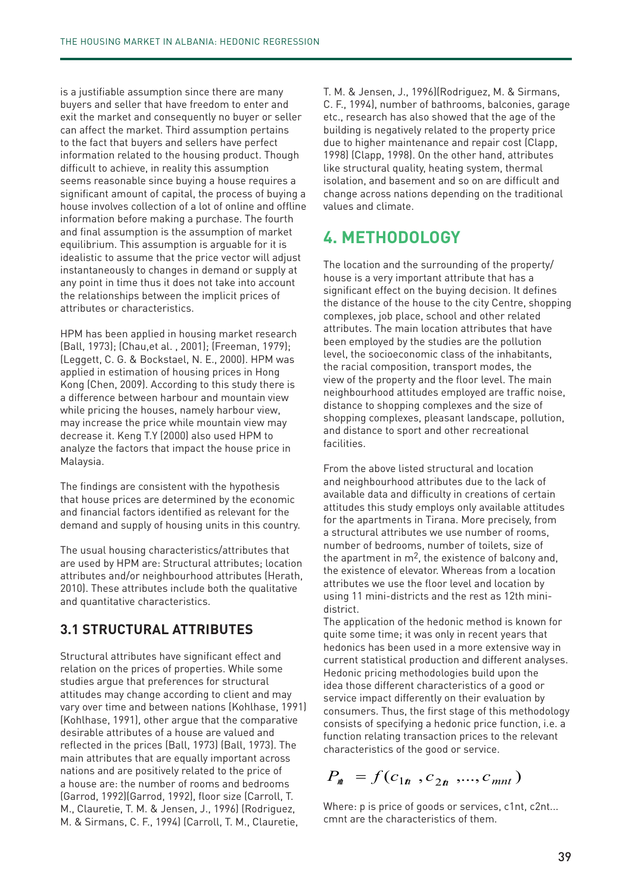is a justifiable assumption since there are many buyers and seller that have freedom to enter and exit the market and consequently no buyer or seller can affect the market. Third assumption pertains to the fact that buyers and sellers have perfect information related to the housing product. Though difficult to achieve, in reality this assumption seems reasonable since buying a house requires a significant amount of capital, the process of buying a house involves collection of a lot of online and offline information before making a purchase. The fourth and final assumption is the assumption of market equilibrium. This assumption is arguable for it is idealistic to assume that the price vector will adjust instantaneously to changes in demand or supply at any point in time thus it does not take into account the relationships between the implicit prices of attributes or characteristics.

HPM has been applied in housing market research (Ball, 1973); (Chau,et al. , 2001); (Freeman, 1979); (Leggett, C. G. & Bockstael, N. E., 2000). HPM was applied in estimation of housing prices in Hong Kong (Chen, 2009). According to this study there is a difference between harbour and mountain view while pricing the houses, namely harbour view, may increase the price while mountain view may decrease it. Keng T.Y (2000) also used HPM to analyze the factors that impact the house price in Malaysia.

The findings are consistent with the hypothesis that house prices are determined by the economic and financial factors identified as relevant for the demand and supply of housing units in this country.

The usual housing characteristics/attributes that are used by HPM are: Structural attributes; location attributes and/or neighbourhood attributes (Herath, 2010). These attributes include both the qualitative and quantitative characteristics.

### **3.1 STRUCTURAL ATTRIBUTES**

Structural attributes have significant effect and relation on the prices of properties. While some studies argue that preferences for structural attitudes may change according to client and may vary over time and between nations (Kohlhase, 1991) (Kohlhase, 1991), other argue that the comparative desirable attributes of a house are valued and reflected in the prices (Ball, 1973) (Ball, 1973). The main attributes that are equally important across nations and are positively related to the price of a house are: the number of rooms and bedrooms (Garrod, 1992)(Garrod, 1992), floor size (Carroll, T. M., Clauretie, T. M. & Jensen, J., 1996) (Rodriguez, M. & Sirmans, C. F., 1994) (Carroll, T. M., Clauretie,

T. M. & Jensen, J., 1996)(Rodriguez, M. & Sirmans, C. F., 1994), number of bathrooms, balconies, garage etc., research has also showed that the age of the building is negatively related to the property price due to higher maintenance and repair cost (Clapp, 1998) (Clapp, 1998). On the other hand, attributes like structural quality, heating system, thermal isolation, and basement and so on are difficult and change across nations depending on the traditional values and climate.

# **4. METHODOLOGY**

The location and the surrounding of the property/ house is a very important attribute that has a significant effect on the buying decision. It defines the distance of the house to the city Centre, shopping complexes, job place, school and other related attributes. The main location attributes that have been employed by the studies are the pollution level, the socioeconomic class of the inhabitants, the racial composition, transport modes, the view of the property and the floor level. The main neighbourhood attitudes employed are traffic noise, distance to shopping complexes and the size of shopping complexes, pleasant landscape, pollution, and distance to sport and other recreational facilities.

From the above listed structural and location and neighbourhood attributes due to the lack of available data and difficulty in creations of certain attitudes this study employs only available attitudes for the apartments in Tirana. More precisely, from a structural attributes we use number of rooms, number of bedrooms, number of toilets, size of the apartment in  $m^2$ , the existence of balcony and, the existence of elevator. Whereas from a location attributes we use the floor level and location by using 11 mini-districts and the rest as 12th minidistrict.

The application of the hedonic method is known for quite some time; it was only in recent years that hedonics has been used in a more extensive way in current statistical production and different analyses. Hedonic pricing methodologies build upon the idea those different characteristics of a good or service impact differently on their evaluation by consumers. Thus, the first stage of this methodology consists of specifying a hedonic price function, i.e. a function relating transaction prices to the relevant characteristics of the good or service.

 $P_{n} = f(c_{1n}, c_{2n}, \ldots, c_{mn})$ 

Where: p is price of goods or services, c1nt, c2nt... cmnt are the characteristics of them.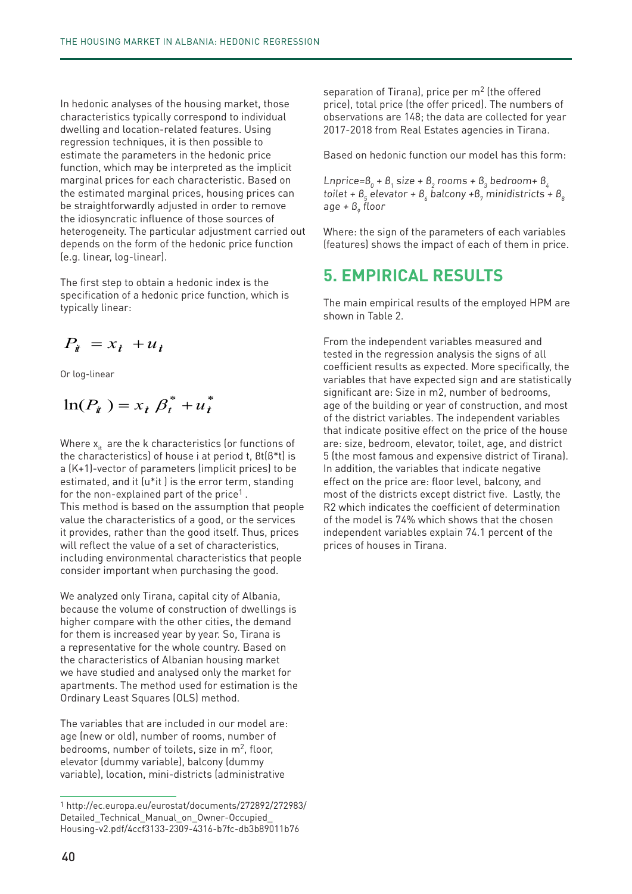In hedonic analyses of the housing market, those characteristics typically correspond to individual dwelling and location-related features. Using regression techniques, it is then possible to estimate the parameters in the hedonic price function, which may be interpreted as the implicit marginal prices for each characteristic. Based on the estimated marginal prices, housing prices can be straightforwardly adjusted in order to remove the idiosyncratic influence of those sources of heterogeneity. The particular adjustment carried out depends on the form of the hedonic price function (e.g. linear, log-linear).

The first step to obtain a hedonic index is the specification of a hedonic price function, which is typically linear:

$$
P_{it} = x_t + u_t
$$

Or log-linear

$$
\ln(P_i) = x_i \beta_i^* + u_i^*
$$

Where  $x_{it}$  are the k characteristics (or functions of the characteristics) of house i at period t, βt(β\*t) is a (K+1)-vector of parameters (implicit prices) to be estimated, and it (u\*it ) is the error term, standing for the non-explained part of the price<sup>1</sup>. This method is based on the assumption that people value the characteristics of a good, or the services it provides, rather than the good itself. Thus, prices will reflect the value of a set of characteristics, including environmental characteristics that people consider important when purchasing the good.

We analyzed only Tirana, capital city of Albania, because the volume of construction of dwellings is higher compare with the other cities, the demand for them is increased year by year. So, Tirana is a representative for the whole country. Based on the characteristics of Albanian housing market we have studied and analysed only the market for apartments. The method used for estimation is the Ordinary Least Squares (OLS) method.

The variables that are included in our model are: age (new or old), number of rooms, number of bedrooms, number of toilets, size in m<sup>2</sup>, floor, elevator (dummy variable), balcony (dummy variable), location, mini-districts (administrative

separation of Tirana), price per m<sup>2</sup> (the offered price), total price (the offer priced). The numbers of observations are 148; the data are collected for year 2017-2018 from Real Estates agencies in Tirana.

Based on hedonic function our model has this form:

Lnprice= $\bm{\beta}_{_0}$  +  $\bm{\beta}_{_1}$  size +  $\bm{\beta}_{_2}$  rooms +  $\bm{\beta}_{_3}$  bedroom+  $\bm{\beta}_{_4}$ toilet +  $\mathcal{B}_5$  elevator +  $\mathcal{B}_6$  balcony + $\mathcal{B}_7$  minidistricts +  $\mathcal{B}_8$ age + β<sub>9</sub> floor

Where: the sign of the parameters of each variables (features) shows the impact of each of them in price.

## **5. EMPIRICAL RESULTS**

The main empirical results of the employed HPM are shown in Table 2.

From the independent variables measured and tested in the regression analysis the signs of all coefficient results as expected. More specifically, the variables that have expected sign and are statistically significant are: Size in m2, number of bedrooms, age of the building or year of construction, and most of the district variables. The independent variables that indicate positive effect on the price of the house are: size, bedroom, elevator, toilet, age, and district 5 (the most famous and expensive district of Tirana). In addition, the variables that indicate negative effect on the price are: floor level, balcony, and most of the districts except district five. Lastly, the R2 which indicates the coefficient of determination of the model is 74% which shows that the chosen independent variables explain 74.1 percent of the prices of houses in Tirana.

<sup>1</sup> http://ec.europa.eu/eurostat/documents/272892/272983/ Detailed\_Technical\_Manual\_on\_Owner-Occupied\_ Housing-v2.pdf/4ccf3133-2309-4316-b7fc-db3b89011b76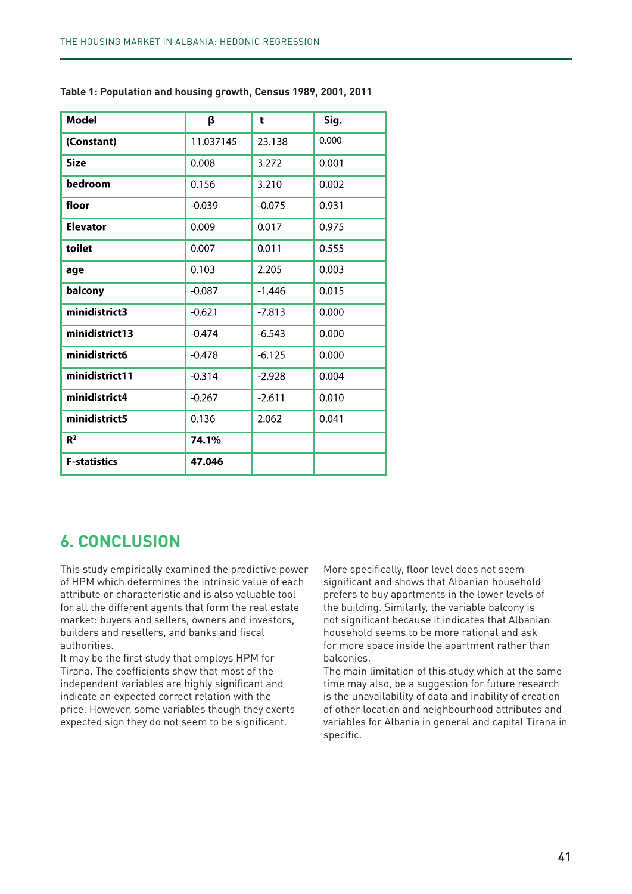| <b>Model</b>        | β         | t        | Sig.  |
|---------------------|-----------|----------|-------|
| (Constant)          | 11.037145 | 23.138   | 0.000 |
| <b>Size</b>         | 0.008     | 3.272    | 0.001 |
| bedroom             | 0.156     | 3.210    | 0.002 |
| floor               | $-0.039$  | $-0.075$ | 0.931 |
| <b>Elevator</b>     | 0.009     | 0.017    | 0.975 |
| toilet              | 0.007     | 0.011    | 0.555 |
| age                 | 0.103     | 2.205    | 0.003 |
| balcony             | $-0.087$  | $-1.446$ | 0.015 |
| minidistrict3       | $-0.621$  | $-7.813$ | 0.000 |
| minidistrict13      | $-0.474$  | $-6.543$ | 0.000 |
| minidistrict6       | $-0.478$  | $-6.125$ | 0.000 |
| minidistrict11      | $-0.314$  | $-2.928$ | 0.004 |
| minidistrict4       | $-0.267$  | $-2.611$ | 0.010 |
| minidistrict5       | 0.136     | 2.062    | 0.041 |
| R <sup>2</sup>      | 74.1%     |          |       |
| <b>F-statistics</b> | 47.046    |          |       |

**Table 1: Population and housing growth, Census 1989, 2001, 2011**

# statistikisht të rëndësishme janë: sipërfaqja në m<sup>2</sup> **6. CONCLUSION**

This study empirically examined the predictive power More specifically, floor level does not seem of HPM which determines the intrinsic value of each attribute or characteristic and is also valuable tool for all the different agents that form the real estate market: buyers and sellers, owners and investors, builders and resellers, and banks and fiscal authorities.

It may be the first study that employs HPM for Tirana. The coefficients show that most of the independent variables are highly significant and indicate an expected correct relation with the price. However, some variables though they exerts expected sign they do not seem to be significant.

which determines the intrinsic value of each significant and shows that Albanian household<br>significant and shows that as he bandwide that a show we have a show that he households of le different agents that form the real estate the building. Similarly, the variable balcony is and resellers, and banks and fiscal household seems to be more rational and ask ies.<br>Se fundminister i përcaktueshmërisë së modelit është 74.1%, që modelit është 74.1%, që tregon se modelit është<br>Shtë 74.1%, që tregon se modellit është 74.1%, që tregon se tregon se modellit të 74.1%, që tregon se treg More specifically, floor level does not seem prefers to buy apartments in the lower levels of not significant because it indicates that Albanian balconies.

The coefficients show that most of the The main limitation of this study which at the same time may also, be a suggestion for future research is the unavailability of data and inability of creation of other location and neighbourhood attributes and variables for Albania in general and capital Tirana in specific.